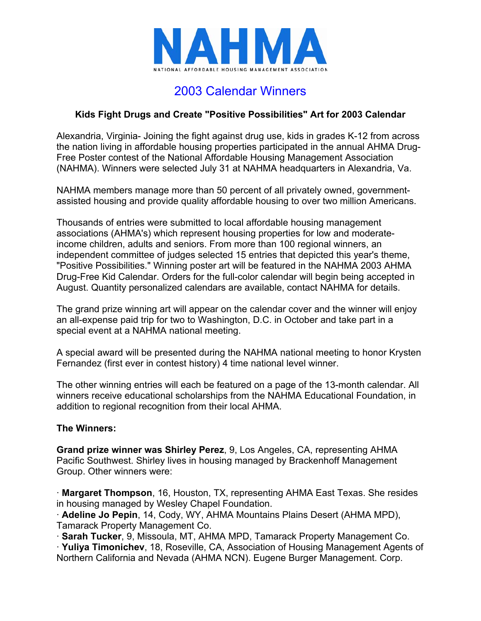

## 2003 Calendar Winners

## **Kids Fight Drugs and Create "Positive Possibilities" Art for 2003 Calendar**

Alexandria, Virginia- Joining the fight against drug use, kids in grades K-12 from across the nation living in affordable housing properties participated in the annual AHMA Drug-Free Poster contest of the National Affordable Housing Management Association (NAHMA). Winners were selected July 31 at NAHMA headquarters in Alexandria, Va.

NAHMA members manage more than 50 percent of all privately owned, governmentassisted housing and provide quality affordable housing to over two million Americans.

Thousands of entries were submitted to local affordable housing management associations (AHMA's) which represent housing properties for low and moderateincome children, adults and seniors. From more than 100 regional winners, an independent committee of judges selected 15 entries that depicted this year's theme, "Positive Possibilities." Winning poster art will be featured in the NAHMA 2003 AHMA Drug-Free Kid Calendar. Orders for the full-color calendar will begin being accepted in August. Quantity personalized calendars are available, contact NAHMA for details.

The grand prize winning art will appear on the calendar cover and the winner will enjoy an all-expense paid trip for two to Washington, D.C. in October and take part in a special event at a NAHMA national meeting.

A special award will be presented during the NAHMA national meeting to honor Krysten Fernandez (first ever in contest history) 4 time national level winner.

The other winning entries will each be featured on a page of the 13-month calendar. All winners receive educational scholarships from the NAHMA Educational Foundation, in addition to regional recognition from their local AHMA.

## **The Winners:**

**Grand prize winner was Shirley Perez**, 9, Los Angeles, CA, representing AHMA Pacific Southwest. Shirley lives in housing managed by Brackenhoff Management Group. Other winners were:

· **Margaret Thompson**, 16, Houston, TX, representing AHMA East Texas. She resides in housing managed by Wesley Chapel Foundation.

· **Adeline Jo Pepin**, 14, Cody, WY, AHMA Mountains Plains Desert (AHMA MPD), Tamarack Property Management Co.

· **Sarah Tucker**, 9, Missoula, MT, AHMA MPD, Tamarack Property Management Co.

· **Yuliya Timonichev**, 18, Roseville, CA, Association of Housing Management Agents of Northern California and Nevada (AHMA NCN). Eugene Burger Management. Corp.